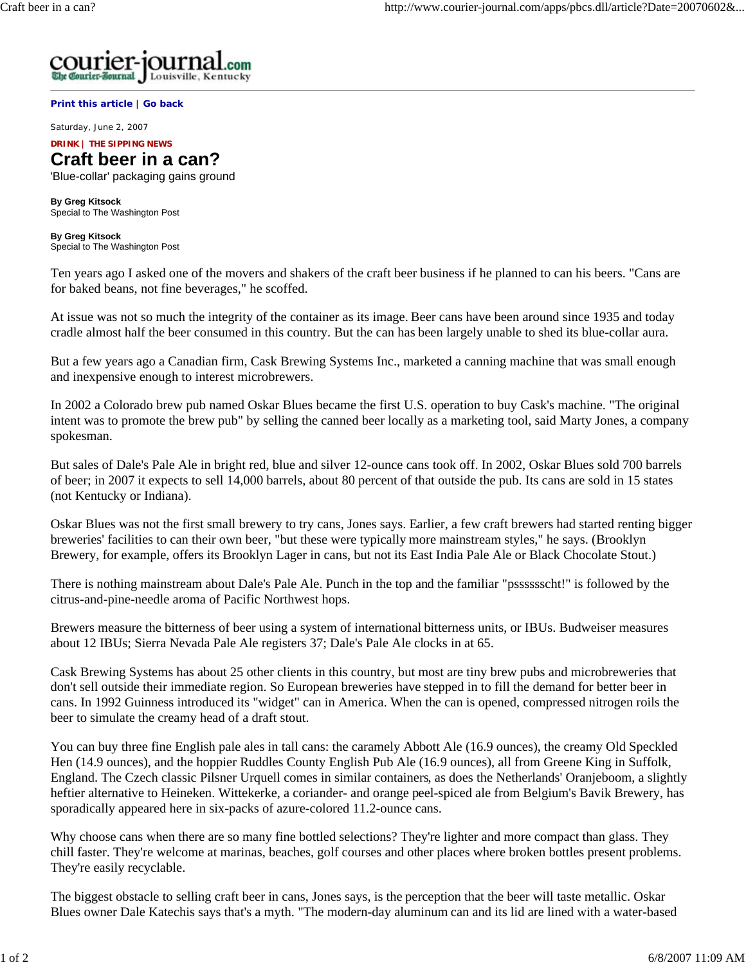

**Print this article** | **Go back**

Saturday, June 2, 2007

## **DRINK | THE SIPPING NEWS Craft beer in a can?**

'Blue-collar' packaging gains ground

**By Greg Kitsock** Special to The Washington Post

**By Greg Kitsock** Special to The Washington Post

Ten years ago I asked one of the movers and shakers of the craft beer business if he planned to can his beers. "Cans are for baked beans, not fine beverages," he scoffed.

At issue was not so much the integrity of the container as its image. Beer cans have been around since 1935 and today cradle almost half the beer consumed in this country. But the can has been largely unable to shed its blue-collar aura.

But a few years ago a Canadian firm, Cask Brewing Systems Inc., marketed a canning machine that was small enough and inexpensive enough to interest microbrewers.

In 2002 a Colorado brew pub named Oskar Blues became the first U.S. operation to buy Cask's machine. "The original intent was to promote the brew pub" by selling the canned beer locally as a marketing tool, said Marty Jones, a company spokesman.

But sales of Dale's Pale Ale in bright red, blue and silver 12-ounce cans took off. In 2002, Oskar Blues sold 700 barrels of beer; in 2007 it expects to sell 14,000 barrels, about 80 percent of that outside the pub. Its cans are sold in 15 states (not Kentucky or Indiana).

Oskar Blues was not the first small brewery to try cans, Jones says. Earlier, a few craft brewers had started renting bigger breweries' facilities to can their own beer, "but these were typically more mainstream styles," he says. (Brooklyn Brewery, for example, offers its Brooklyn Lager in cans, but not its East India Pale Ale or Black Chocolate Stout.)

There is nothing mainstream about Dale's Pale Ale. Punch in the top and the familiar "psssssscht!" is followed by the citrus-and-pine-needle aroma of Pacific Northwest hops.

Brewers measure the bitterness of beer using a system of international bitterness units, or IBUs. Budweiser measures about 12 IBUs; Sierra Nevada Pale Ale registers 37; Dale's Pale Ale clocks in at 65.

Cask Brewing Systems has about 25 other clients in this country, but most are tiny brew pubs and microbreweries that don't sell outside their immediate region. So European breweries have stepped in to fill the demand for better beer in cans. In 1992 Guinness introduced its "widget" can in America. When the can is opened, compressed nitrogen roils the beer to simulate the creamy head of a draft stout.

You can buy three fine English pale ales in tall cans: the caramely Abbott Ale (16.9 ounces), the creamy Old Speckled Hen (14.9 ounces), and the hoppier Ruddles County English Pub Ale (16.9 ounces), all from Greene King in Suffolk, England. The Czech classic Pilsner Urquell comes in similar containers, as does the Netherlands' Oranjeboom, a slightly heftier alternative to Heineken. Wittekerke, a coriander- and orange peel-spiced ale from Belgium's Bavik Brewery, has sporadically appeared here in six-packs of azure-colored 11.2-ounce cans.

Why choose cans when there are so many fine bottled selections? They're lighter and more compact than glass. They chill faster. They're welcome at marinas, beaches, golf courses and other places where broken bottles present problems. They're easily recyclable.

The biggest obstacle to selling craft beer in cans, Jones says, is the perception that the beer will taste metallic. Oskar Blues owner Dale Katechis says that's a myth. "The modern-day aluminum can and its lid are lined with a water-based